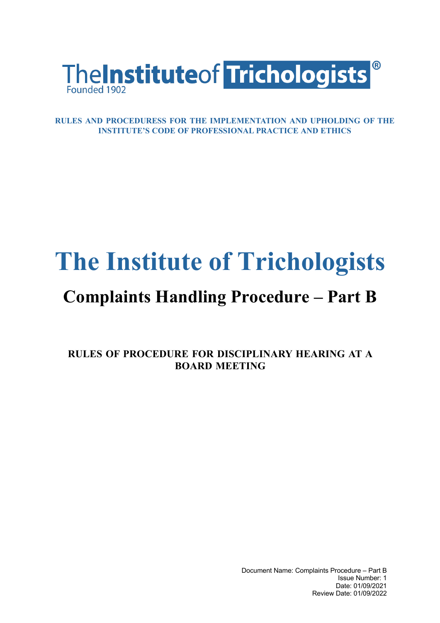

**RULES AND PROCEDURESS FOR THE IMPLEMENTATION AND UPHOLDING OF THE INSTITUTE'S CODE OF PROFESSIONAL PRACTICE AND ETHICS**

## **The Institute of Trichologists**

## **Complaints Handling Procedure – Part B**

**RULES OF PROCEDURE FOR DISCIPLINARY HEARING AT A BOARD MEETING**

> Document Name: Complaints Procedure – Part B Issue Number: 1 Date: 01/09/2021 Review Date: 01/09/2022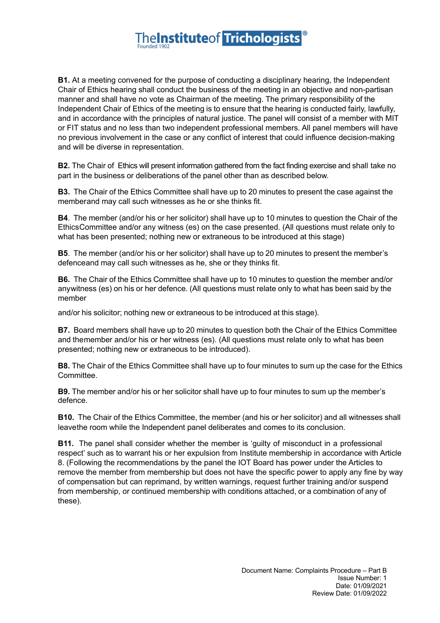## **TheInstituteof Trichologists**

**B1.** At a meeting convened for the purpose of conducting a disciplinary hearing, the Independent Chair of Ethics hearing shall conduct the business of the meeting in an objective and non-partisan manner and shall have no vote as Chairman of the meeting. The primary responsibility of the Independent Chair of Ethics of the meeting is to ensure that the hearing is conducted fairly, lawfully, and in accordance with the principles of natural justice. The panel will consist of a member with MIT or FIT status and no less than two independent professional members. All panel members will have no previous involvement in the case or any conflict of interest that could influence decision-making and will be diverse in representation.

**B2.** The Chair of Ethics will present information gathered from the fact finding exercise and shall take no part in the business or deliberations of the panel other than as described below.

**B3.** The Chair of the Ethics Committee shall have up to 20 minutes to present the case against the memberand may call such witnesses as he or she thinks fit.

**B4**. The member (and/or his or her solicitor) shall have up to 10 minutes to question the Chair of the EthicsCommittee and/or any witness (es) on the case presented. (All questions must relate only to what has been presented; nothing new or extraneous to be introduced at this stage)

**B5**. The member (and/or his or her solicitor) shall have up to 20 minutes to present the member's defenceand may call such witnesses as he, she or they thinks fit.

**B6.** The Chair of the Ethics Committee shall have up to 10 minutes to question the member and/or anywitness (es) on his or her defence. (All questions must relate only to what has been said by the member

and/or his solicitor; nothing new or extraneous to be introduced at this stage).

**B7.** Board members shall have up to 20 minutes to question both the Chair of the Ethics Committee and themember and/or his or her witness (es). (All questions must relate only to what has been presented; nothing new or extraneous to be introduced).

**B8.** The Chair of the Ethics Committee shall have up to four minutes to sum up the case for the Ethics Committee.

**B9.** The member and/or his or her solicitor shall have up to four minutes to sum up the member's defence.

**B10.** The Chair of the Ethics Committee, the member (and his or her solicitor) and all witnesses shall leavethe room while the Independent panel deliberates and comes to its conclusion.

**B11.** The panel shall consider whether the member is 'guilty of misconduct in a professional respect' such as to warrant his or her expulsion from Institute membership in accordance with Article 8. (Following the recommendations by the panel the IOT Board has power under the Articles to remove the member from membership but does not have the specific power to apply any fine by way of compensation but can reprimand, by written warnings, request further training and/or suspend from membership, or continued membership with conditions attached, or a combination of any of these).